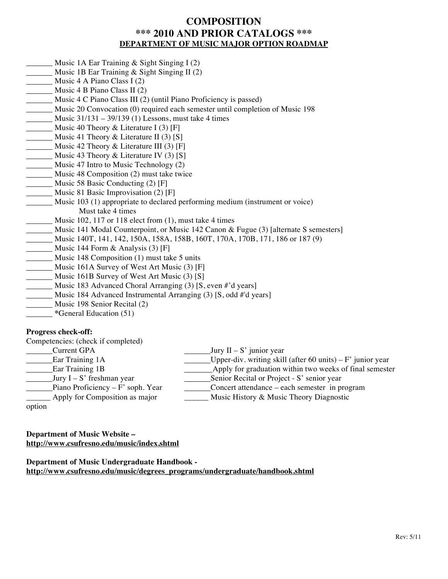# **COMPOSITION \*\*\* 2010 AND PRIOR CATALOGS \*\*\* DEPARTMENT OF MUSIC MAJOR OPTION ROADMAP**

- Music 1A Ear Training & Sight Singing I (2)
- Music 1B Ear Training & Sight Singing II (2)
- Music 4 A Piano Class I (2)
- Music 4 B Piano Class II (2)
- Music 4 C Piano Class III (2) (until Piano Proficiency is passed)
- Music 20 Convocation (0) required each semester until completion of Music 198
- Music 31/131 39/139 (1) Lessons, must take 4 times
- $M$ usic 40 Theory & Literature I (3) [F]
- Music 41 Theory  $\&$  Literature II (3) [S]
- Music 42 Theory & Literature III (3) [F]
- Music 43 Theory & Literature IV (3) [S]
- Music 47 Intro to Music Technology (2)
- Music 48 Composition (2) must take twice
- Music 58 Basic Conducting (2) [F]
- Music 81 Basic Improvisation (2) [F]
- Music 103 (1) appropriate to declared performing medium (instrument or voice) Must take 4 times
- Music  $102$ ,  $117$  or  $118$  elect from  $(1)$ , must take 4 times
- Music 141 Modal Counterpoint, or Music 142 Canon & Fugue (3) [alternate S semesters]
- Music 140T, 141, 142, 150A, 158A, 158B, 160T, 170A, 170B, 171, 186 or 187 (9)
- Music 144 Form  $\&$  Analysis (3) [F]
- Music 148 Composition (1) must take 5 units
- Music 161A Survey of West Art Music (3) [F]
- $\blacksquare$  Music 161B Survey of West Art Music (3) [S]
- Music 183 Advanced Choral Arranging (3) [S, even #'d years]
- Music 184 Advanced Instrumental Arranging (3) [S, odd #'d years]
- Music 198 Senior Recital (2)
- **\***General Education (51)

## **Progress check-off:**

| Competencies: (check if completed) |                                                             |
|------------------------------------|-------------------------------------------------------------|
| <b>Current GPA</b>                 | Jury $II - S'$ junior year                                  |
| Ear Training 1A                    | Upper-div. writing skill (after 60 units) $-F'$ junior year |
| <b>Ear Training 1B</b>             | Apply for graduation within two weeks of final semester     |
| Jury $I - S'$ freshman year        | Senior Recital or Project - S' senior year                  |
| Piano Proficiency – F' soph. Year  | Concert attendance – each semester in program               |
| Apply for Composition as major     | Music History & Music Theory Diagnostic                     |
|                                    |                                                             |

option

**Department of Music Website – http://www.csufresno.edu/music/index.shtml**

**Department of Music Undergraduate Handbook http://www.csufresno.edu/music/degrees\_programs/undergraduate/handbook.shtml**